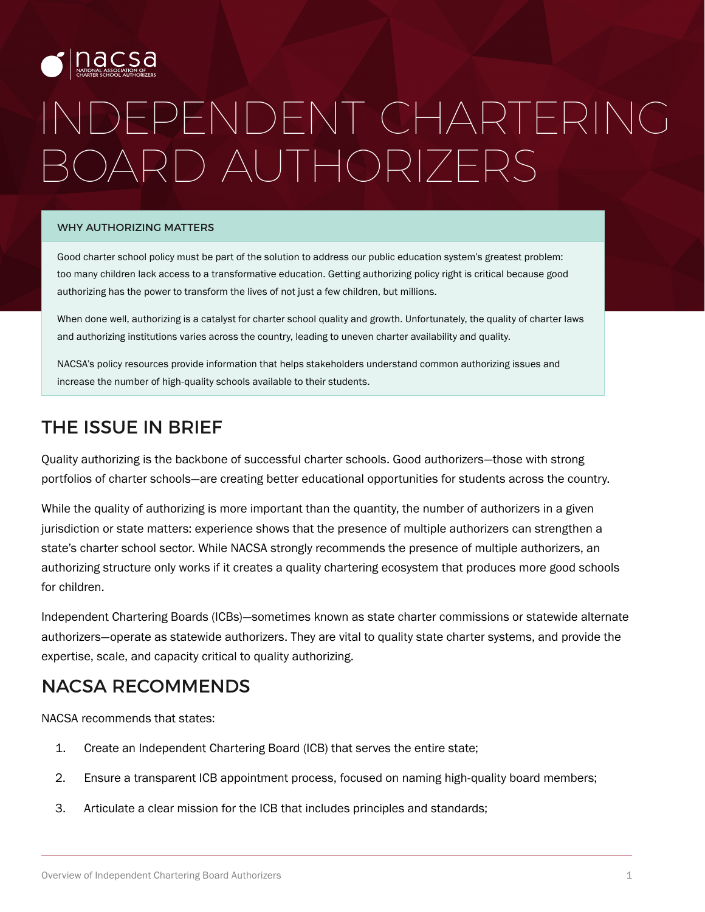

# INDEPENDENT CHARTERING BOARD AUTHORIZERS

#### WHY AUTHORIZING MATTERS

Good charter school policy must be part of the solution to address our public education system's greatest problem: too many children lack access to a transformative education. Getting authorizing policy right is critical because good authorizing has the power to transform the lives of not just a few children, but millions.

When done well, authorizing is a catalyst for charter school quality and growth. Unfortunately, the quality of charter laws and authorizing institutions varies across the country, leading to uneven charter availability and quality.

NACSA's policy resources provide information that helps stakeholders understand common authorizing issues and increase the number of high-quality schools available to their students.

## THE ISSUE IN BRIEF

Quality authorizing is the backbone of successful charter schools. Good authorizers—those with strong portfolios of charter schools—are creating better educational opportunities for students across the country.

While the quality of authorizing is more important than the quantity, the number of authorizers in a given jurisdiction or state matters: experience shows that the presence of multiple authorizers can strengthen a state's charter school sector. While NACSA strongly recommends the presence of multiple authorizers, an authorizing structure only works if it creates a quality chartering ecosystem that produces more good schools for children.

Independent Chartering Boards (ICBs)—sometimes known as state charter commissions or statewide alternate authorizers—operate as statewide authorizers. They are vital to quality state charter systems, and provide the expertise, scale, and capacity critical to quality authorizing.

## NACSA RECOMMENDS

NACSA recommends that states:

- 1. Create an Independent Chartering Board (ICB) that serves the entire state;
- 2. Ensure a transparent ICB appointment process, focused on naming high-quality board members;
- 3. Articulate a clear mission for the ICB that includes principles and standards;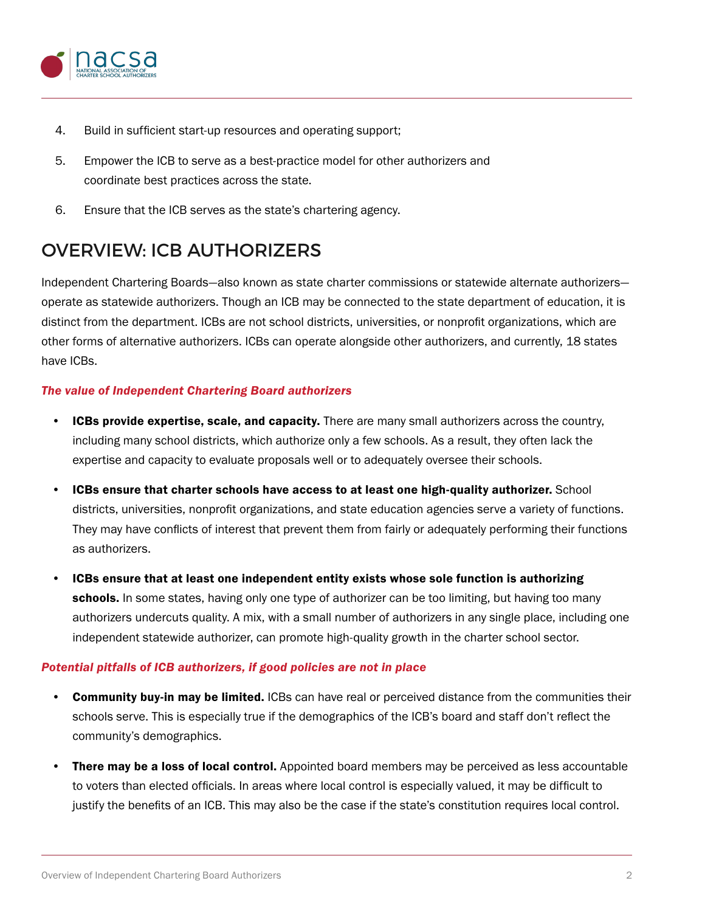

- 4. Build in sufficient start-up resources and operating support;
- 5. Empower the ICB to serve as a best-practice model for other authorizers and coordinate best practices across the state.
- 6. Ensure that the ICB serves as the state's chartering agency.

## OVERVIEW: ICB AUTHORIZERS

Independent Chartering Boards—also known as state charter commissions or statewide alternate authorizers operate as statewide authorizers. Though an ICB may be connected to the state department of education, it is distinct from the department. ICBs are not school districts, universities, or nonprofit organizations, which are other forms of alternative authorizers. ICBs can operate alongside other authorizers, and currently, 18 states have ICBs.

### *The value of Independent Chartering Board authorizers*

- ICBs provide expertise, scale, and capacity. There are many small authorizers across the country, including many school districts, which authorize only a few schools. As a result, they often lack the expertise and capacity to evaluate proposals well or to adequately oversee their schools.
- **ICBs ensure that charter schools have access to at least one high-quality authorizer.** School districts, universities, nonprofit organizations, and state education agencies serve a variety of functions. They may have conflicts of interest that prevent them from fairly or adequately performing their functions as authorizers.
- ICBs ensure that at least one independent entity exists whose sole function is authorizing schools. In some states, having only one type of authorizer can be too limiting, but having too many authorizers undercuts quality. A mix, with a small number of authorizers in any single place, including one independent statewide authorizer, can promote high-quality growth in the charter school sector.

#### *Potential pitfalls of ICB authorizers, if good policies are not in place*

- Community buy-in may be limited. ICBs can have real or perceived distance from the communities their schools serve. This is especially true if the demographics of the ICB's board and staff don't reflect the community's demographics.
- **There may be a loss of local control.** Appointed board members may be perceived as less accountable to voters than elected officials. In areas where local control is especially valued, it may be difficult to justify the benefits of an ICB. This may also be the case if the state's constitution requires local control.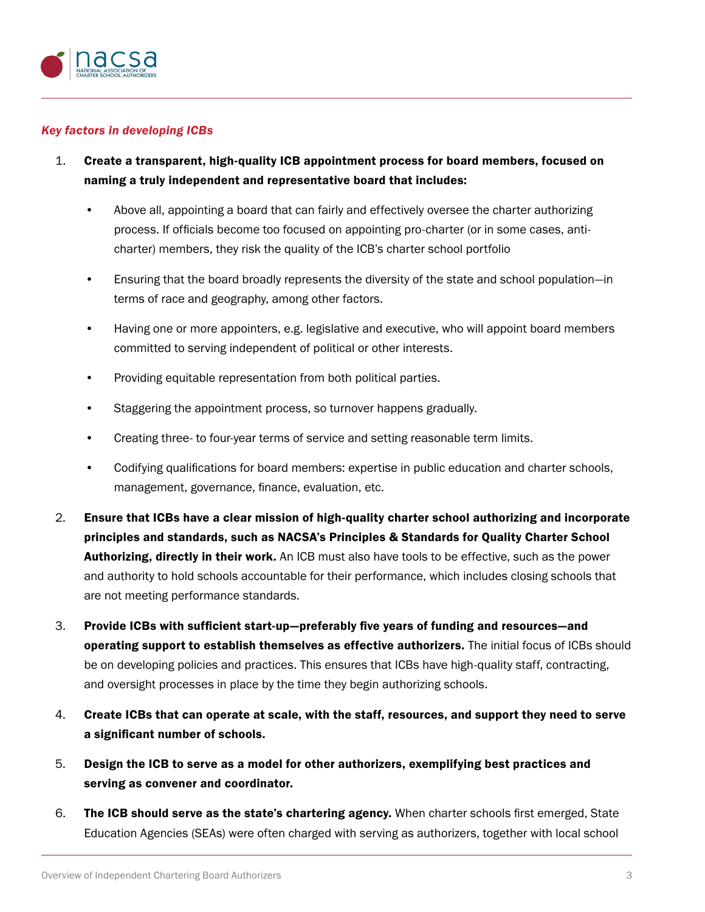

#### *Key factors in developing ICBs*

- 1. Create a transparent, high-quality ICB appointment process for board members, focused on naming a truly independent and representative board that includes:
	- Above all, appointing a board that can fairly and effectively oversee the charter authorizing process. If officials become too focused on appointing pro-charter (or in some cases, anticharter) members, they risk the quality of the ICB's charter school portfolio
	- Ensuring that the board broadly represents the diversity of the state and school population—in terms of race and geography, among other factors.
	- Having one or more appointers, e.g. legislative and executive, who will appoint board members committed to serving independent of political or other interests.
	- Providing equitable representation from both political parties.
	- Staggering the appointment process, so turnover happens gradually.
	- Creating three- to four-year terms of service and setting reasonable term limits.
	- Codifying qualifications for board members: expertise in public education and charter schools, management, governance, finance, evaluation, etc.
- 2. Ensure that ICBs have a clear mission of high-quality charter school authorizing and incorporate principles and standards, such as NACSA's Principles & Standards for Quality Charter School Authorizing, directly in their work. An ICB must also have tools to be effective, such as the power and authority to hold schools accountable for their performance, which includes closing schools that are not meeting performance standards.
- 3. Provide ICBs with sufficient start-up—preferably five years of funding and resources—and operating support to establish themselves as effective authorizers. The initial focus of ICBs should be on developing policies and practices. This ensures that ICBs have high-quality staff, contracting, and oversight processes in place by the time they begin authorizing schools.
- 4. Create ICBs that can operate at scale, with the staff, resources, and support they need to serve a significant number of schools.
- 5. Design the ICB to serve as a model for other authorizers, exemplifying best practices and serving as convener and coordinator.
- 6. The ICB should serve as the state's chartering agency. When charter schools first emerged, State Education Agencies (SEAs) were often charged with serving as authorizers, together with local school